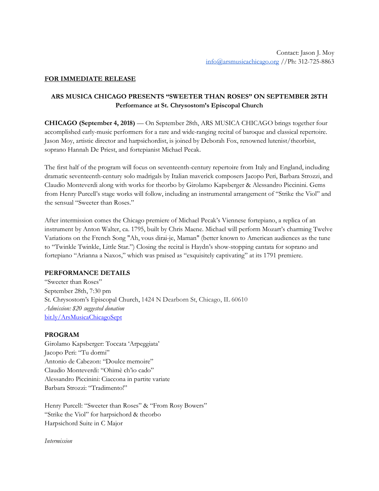### **FOR IMMEDIATE RELEASE**

# **ARS MUSICA CHICAGO PRESENTS "SWEETER THAN ROSES" ON SEPTEMBER 28TH Performance at St. Chrysostom's Episcopal Church**

**CHICAGO (September 4, 2018)** — On September 28th, ARS MUSICA CHICAGO brings together four accomplished early-music performers for a rare and wide-ranging recital of baroque and classical repertoire. Jason Moy, artistic director and harpsichordist, is joined by Deborah Fox, renowned lutenist/theorbist, soprano Hannah De Priest, and fortepianist Michael Pecak.

The first half of the program will focus on seventeenth-century repertoire from Italy and England, including dramatic seventeenth-century solo madrigals by Italian maverick composers Jacopo Peri, Barbara Strozzi, and Claudio Monteverdi along with works for theorbo by Girolamo Kapsberger & Alessandro Piccinini. Gems from Henry Purcell's stage works will follow, including an instrumental arrangement of "Strike the Viol" and the sensual "Sweeter than Roses."

After intermission comes the Chicago premiere of Michael Pecak's Viennese fortepiano, a replica of an instrument by Anton Walter, ca. 1795, built by Chris Maene. Michael will perform Mozart's charming Twelve Variations on the French Song "Ah, vous dirai-je, Maman" (better known to American audiences as the tune to "Twinkle Twinkle, Little Star.") Closing the recital is Haydn's show-stopping cantata for soprano and fortepiano "Arianna a Naxos," which was praised as "exquisitely captivating" at its 1791 premiere.

### **PERFORMANCE DETAILS**

"Sweeter than Roses" September 28th, 7:30 pm St. Chrysostom's Episcopal Church, 1424 N Dearborn St, Chicago, IL 60610 *Admission: \$20 suggested donation* bit.ly/ArsMusicaChicagoSept

### **PROGRAM**

Girolamo Kapsberger: Toccata 'Arpeggiata' Jacopo Peri: "Tu dormi" Antonio de Cabezon: "Doulce memoire" Claudio Monteverdi: "Ohimè ch'io cado" Alessandro Piccinini: Ciaccona in partite variate Barbara Strozzi: "Tradimento!"

Henry Purcell: "Sweeter than Roses" & "From Rosy Bowers" "Strike the Viol" for harpsichord & theorbo Harpsichord Suite in C Major

*Intermission*